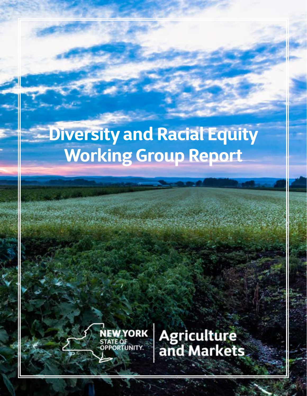# **Diversity and Racial Equity Working Group Report**



NEW YORK Agriculture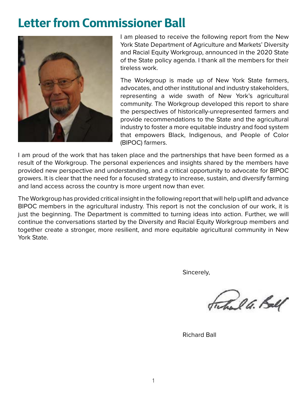### **Letter from Commissioner Ball**



I am pleased to receive the following report from the New York State Department of Agriculture and Markets' Diversity and Racial Equity Workgroup, announced in the 2020 State of the State policy agenda. I thank all the members for their tireless work.

The Workgroup is made up of New York State farmers, advocates, and other institutional and industry stakeholders, representing a wide swath of New York's agricultural community. The Workgroup developed this report to share the perspectives of historically-unrepresented farmers and provide recommendations to the State and the agricultural industry to foster a more equitable industry and food system that empowers Black, Indigenous, and People of Color (BIPOC) farmers.

I am proud of the work that has taken place and the partnerships that have been formed as a result of the Workgroup. The personal experiences and insights shared by the members have provided new perspective and understanding, and a critical opportunity to advocate for BIPOC growers. It is clear that the need for a focused strategy to increase, sustain, and diversify farming and land access across the country is more urgent now than ever.

The Workgroup has provided critical insight in the following report that will help uplift and advance BIPOC members in the agricultural industry. This report is not the conclusion of our work, it is just the beginning. The Department is committed to turning ideas into action. Further, we will continue the conversations started by the Diversity and Racial Equity Workgroup members and together create a stronger, more resilient, and more equitable agricultural community in New York State.

Sincerely,

Frehall G. Ball

Richard Ball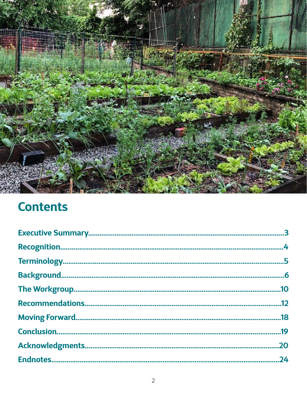

# **Contents**

|                        | .10 |
|------------------------|-----|
|                        | .12 |
| <b>Moving Forward.</b> | .18 |
|                        |     |
|                        | 20  |
|                        | 24  |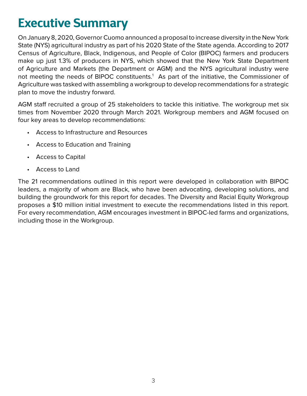# <span id="page-3-0"></span>**Executive Summary**

On January 8, 2020, Governor Cuomo announced a proposal to increase diversity in the New York State (NYS) agricultural industry as part of his 2020 State of the State agenda. According to 2017 Census of Agriculture, Black, Indigenous, and People of Color (BIPOC) farmers and producers make up just 1.3% of producers in NYS, which showed that the New York State Department of Agriculture and Markets (the Department or AGM) and the NYS agricultural industry were not meeting the needs of BIPOC constituents.<sup>1</sup> As part of the initiative, the Commissioner of Agriculture was tasked with assembling a workgroup to develop recommendations for a strategic plan to move the industry forward.

AGM staff recruited a group of 25 stakeholders to tackle this initiative. The workgroup met six times from November 2020 through March 2021. Workgroup members and AGM focused on four key areas to develop recommendations:

- Access to Infrastructure and Resources
- Access to Education and Training
- Access to Capital
- Access to Land

The 21 recommendations outlined in this report were developed in collaboration with BIPOC leaders, a majority of whom are Black, who have been advocating, developing solutions, and building the groundwork for this report for decades. The Diversity and Racial Equity Workgroup proposes a \$10 million initial investment to execute the recommendations listed in this report. For every recommendation, AGM encourages investment in BIPOC-led farms and organizations, including those in the Workgroup.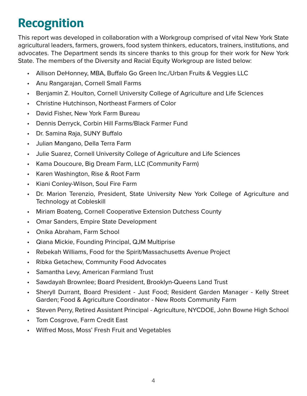# <span id="page-4-0"></span>**Recognition**

This report was developed in collaboration with a Workgroup comprised of vital New York State agricultural leaders, farmers, growers, food system thinkers, educators, trainers, institutions, and advocates. The Department sends its sincere thanks to this group for their work for New York State. The members of the Diversity and Racial Equity Workgroup are listed below:

- Allison DeHonney, MBA, Buffalo Go Green Inc./Urban Fruits & Veggies LLC
- Anu Rangarajan, Cornell Small Farms
- Benjamin Z. Houlton, Cornell University College of Agriculture and Life Sciences
- Christine Hutchinson, Northeast Farmers of Color
- David Fisher, New York Farm Bureau
- Dennis Derryck, Corbin Hill Farms/Black Farmer Fund
- Dr. Samina Raja, SUNY Buffalo
- Julian Mangano, Della Terra Farm
- Julie Suarez, Cornell University College of Agriculture and Life Sciences
- Kama Doucoure, Big Dream Farm, LLC (Community Farm)
- Karen Washington, Rise & Root Farm
- Kiani Conley-Wilson, Soul Fire Farm
- Dr. Marion Terenzio, President, State University New York College of Agriculture and Technology at Cobleskill
- Miriam Boateng, Cornell Cooperative Extension Dutchess County
- Omar Sanders, Empire State Development
- Onika Abraham, Farm School
- Qiana Mickie, Founding Principal, QJM Multiprise
- Rebekah Williams, Food for the Spirit/Massachusetts Avenue Project
- Ribka Getachew, Community Food Advocates
- Samantha Levy, American Farmland Trust
- Sawdayah Brownlee; Board President, Brooklyn-Queens Land Trust
- Sheryll Durrant, Board President Just Food; Resident Garden Manager Kelly Street Garden; Food & Agriculture Coordinator - New Roots Community Farm
- Steven Perry, Retired Assistant Principal Agriculture, NYCDOE, John Bowne High School
- Tom Cosgrove, Farm Credit East
- Wilfred Moss, Moss' Fresh Fruit and Vegetables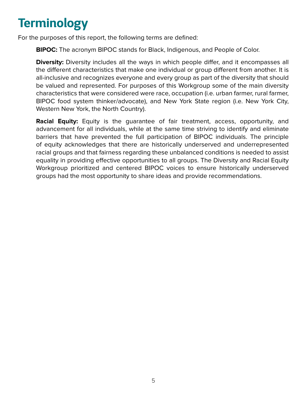# <span id="page-5-0"></span>**Terminology**

For the purposes of this report, the following terms are defined:

**BIPOC:** The acronym BIPOC stands for Black, Indigenous, and People of Color.

**Diversity:** Diversity includes all the ways in which people differ, and it encompasses all the different characteristics that make one individual or group different from another. It is all-inclusive and recognizes everyone and every group as part of the diversity that should be valued and represented. For purposes of this Workgroup some of the main diversity characteristics that were considered were race, occupation (i.e. urban farmer, rural farmer, BIPOC food system thinker/advocate), and New York State region (i.e. New York City, Western New York, the North Country).

**Racial Equity:** Equity is the quarantee of fair treatment, access, opportunity, and advancement for all individuals, while at the same time striving to identify and eliminate barriers that have prevented the full participation of BIPOC individuals. The principle of equity acknowledges that there are historically underserved and underrepresented racial groups and that fairness regarding these unbalanced conditions is needed to assist equality in providing effective opportunities to all groups. The Diversity and Racial Equity Workgroup prioritized and centered BIPOC voices to ensure historically underserved groups had the most opportunity to share ideas and provide recommendations.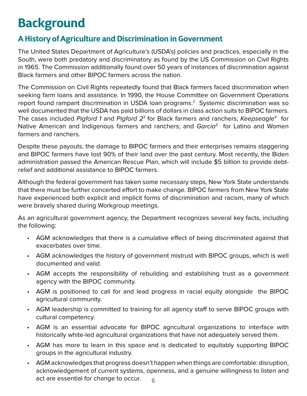# <span id="page-6-0"></span>**Background**

### **A History of Agriculture and Discrimination in Government**

The United States Department of Agriculture's (USDA's) policies and practices, especially in the South, were both predatory and discriminatory as found by the US Commission on Civil Rights in 1965. The Commission additionally found over 50 years of instances of discrimination against Black farmers and other BIPOC farmers across the nation.

The Commission on Civil Rights repeatedly found that Black farmers faced discrimination when seeking farm loans and assistance. In 1990, the House Committee on Government Operations report found rampant discrimination in USDA loan programs.<sup>2</sup> Systemic discrimination was so well documented that the USDA has paid billions of dollars in class action suits to BIPOC farmers. The cases included Pigford 1 and Pigford  $2<sup>3</sup>$  for Black farmers and ranchers; Keepseagle<sup>4</sup> for Native American and Indigenous farmers and ranchers; and  $Garcia<sup>5</sup>$  for Latino and Women farmers and ranchers.

Despite these payouts, the damage to BIPOC farmers and their enterprises remains staggering and BIPOC farmers have lost 90% of their land over the past century. Most recently, the Biden administration passed the American Rescue Plan, which will include \$5 billion to provide debtrelief and additional assistance to BIPOC farmers.

Although the federal government has taken some necessary steps, New York State understands that there must be further concerted effort to make change. BIPOC farmers from New York State have experienced both explicit and implicit forms of discrimination and racism, many of which were bravely shared during Workgroup meetings.

As an agricultural government agency, the Department recognizes several key facts, including the following:

- AGM acknowledges that there is a cumulative effect of being discriminated against that exacerbates over time.
- AGM acknowledges the history of government mistrust with BIPOC groups, which is well documented and valid.
- AGM accepts the responsibility of rebuilding and establishing trust as a government agency with the BIPOC community.
- AGM is positioned to call for and lead progress in racial equity alongside the BIPOC agricultural community.
- AGM leadership is committed to training for all agency staff to serve BIPOC groups with cultural competency.
- AGM is an essential advocate for BIPOC agricultural organizations to interface with historically white-led agricultural organizations that have not adequately served them.
- AGM has more to learn in this space and is dedicated to equitably supporting BIPOC groups in the agricultural industry.
- AGM acknowledges that progress doesn't happen when things are comfortable: disruption, acknowledgement of current systems, openness, and a genuine willingness to listen and act are essential for change to occur.  $66$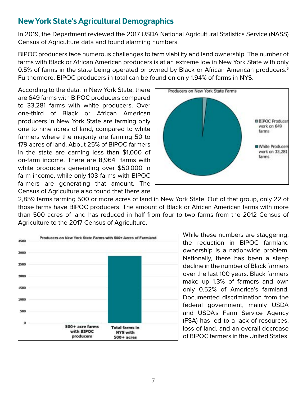### **New York State's Agricultural Demographics**

In 2019, the Department reviewed the 2017 USDA National Agricultural Statistics Service (NASS) Census of Agriculture data and found alarming numbers.

BIPOC producers face numerous challenges to farm viability and land ownership. The number of farms with Black or African American producers is at an extreme low in New York State with only 0.5% of farms in the state being operated or owned by Black or African American producers.<sup>6</sup> Furthermore, BIPOC producers in total can be found on only 1.94% of farms in NYS.

According to the data, in New York State, there are 649 farms with BIPOC producers compared to 33,281 farms with white producers. Over one-third of Black or African American producers in New York State are farming only one to nine acres of land, compared to white farmers where the majority are farming 50 to 179 acres of land. About 25% of BIPOC farmers in the state are earning less than \$1,000 of on-farm income. There are 8,964 farms with white producers generating over \$50,000 in farm income, while only 103 farms with BIPOC farmers are generating that amount. The Census of Agriculture also found that there are



2,859 farms farming 500 or more acres of land in New York State. Out of that group, only 22 of those farms have BIPOC producers. The amount of Black or African American farms with more than 500 acres of land has reduced in half from four to two farms from the 2012 Census of Agriculture to the 2017 Census of Agriculture.



While these numbers are staggering, the reduction in BIPOC farmland ownership is a nationwide problem. Nationally, there has been a steep decline in the number of Black farmers over the last 100 years. Black farmers make up 1.3% of farmers and own only 0.52% of America's farmland. Documented discrimination from the federal government, mainly USDA and USDA's Farm Service Agency (FSA) has led to a lack of resources, loss of land, and an overall decrease of BIPOC farmers in the United States.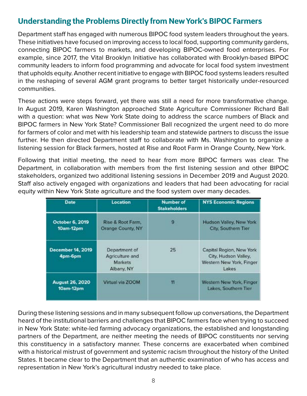### **Understanding the Problems Directly from New York's BIPOC Farmers**

Department staff has engaged with numerous BIPOC food system leaders throughout the years. These initiatives have focused on improving access to local food, supporting community gardens, connecting BIPOC farmers to markets, and developing BIPOC-owned food enterprises. For example, since 2017, the Vital Brooklyn Initiative has collaborated with Brooklyn-based BIPOC community leaders to inform food programming and advocate for local food system investment that upholds equity. Another recent initiative to engage with BIPOC food systems leaders resulted in the reshaping of several AGM grant programs to better target historically under-resourced communities.

These actions were steps forward, yet there was still a need for more transformative change. In August 2019, Karen Washington approached State Agriculture Commissioner Richard Ball with a question: what was New York State doing to address the scarce numbers of Black and BIPOC farmers in New York State? Commissioner Ball recognized the urgent need to do more for farmers of color and met with his leadership team and statewide partners to discuss the issue further. He then directed Department staff to collaborate with Ms. Washington to organize a listening session for Black farmers, hosted at Rise and Root Farm in Orange County, New York.

Following that initial meeting, the need to hear from more BIPOC farmers was clear. The Department, in collaboration with members from the first listening session and other BIPOC stakeholders, organized two additional listening sessions in December 2019 and August 2020. Staff also actively engaged with organizations and leaders that had been advocating for racial equity within New York State agriculture and the food system over many decades.

| <b>Date</b>                                             | Location                                                         | <b>Number of</b><br><b>Stakeholders</b> | <b>NYS Economic Regions</b>                                                           |
|---------------------------------------------------------|------------------------------------------------------------------|-----------------------------------------|---------------------------------------------------------------------------------------|
| October 6, 2019<br>10am-12pm                            | Rise & Root Farm,<br>Orange County, NY                           |                                         | Hudson Valley, New York<br>City, Southern Tier                                        |
| <b>December 14, 2019</b><br>4pm-6pm                     | Department of<br>Agriculture and<br><b>Markets</b><br>Albany, NY | 25                                      | Capital Region, New York<br>City, Hudson Valley,<br>Western New York, Finger<br>Lakes |
| Virtual via ZOOM<br><b>August 26, 2020</b><br>10am-12pm |                                                                  | 11                                      | Western New York, Finger<br>Lakes, Southern Tier                                      |

During these listening sessions and in many subsequent follow up conversations, the Department heard of the institutional barriers and challenges that BIPOC farmers face when trying to succeed in New York State: white-led farming advocacy organizations, the established and longstanding partners of the Department, are neither meeting the needs of BIPOC constituents nor serving this constituency in a satisfactory manner. These concerns are exacerbated when combined with a historical mistrust of government and systemic racism throughout the history of the United States. It became clear to the Department that an authentic examination of who has access and representation in New York's agricultural industry needed to take place.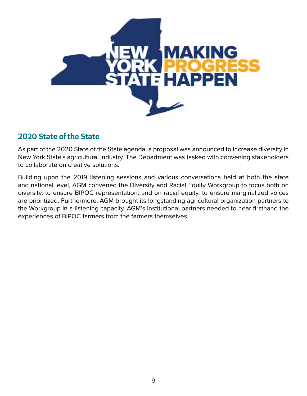

### **2020 State of the State**

As part of the 2020 State of the State agenda, a proposal was announced to increase diversity in New York State's agricultural industry. The Department was tasked with convening stakeholders to collaborate on creative solutions.

Building upon the 2019 listening sessions and various conversations held at both the state and national level, AGM convened the Diversity and Racial Equity Workgroup to focus both on diversity, to ensure BIPOC representation, and on racial equity, to ensure marginalized voices are prioritized. Furthermore, AGM brought its longstanding agricultural organization partners to the Workgroup in a listening capacity. AGM's institutional partners needed to hear firsthand the experiences of BIPOC farmers from the farmers themselves.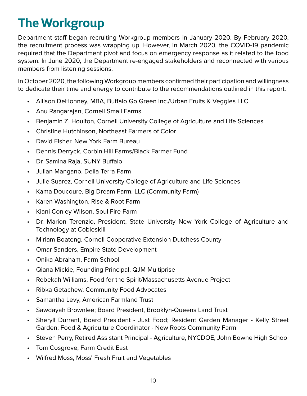# <span id="page-10-0"></span>**The Workgroup**

Department staff began recruiting Workgroup members in January 2020. By February 2020, the recruitment process was wrapping up. However, in March 2020, the COVID-19 pandemic required that the Department pivot and focus on emergency response as it related to the food system. In June 2020, the Department re-engaged stakeholders and reconnected with various members from listening sessions.

In October 2020, the following Workgroup members confirmed their participation and willingness to dedicate their time and energy to contribute to the recommendations outlined in this report:

- Allison DeHonney, MBA, Buffalo Go Green Inc./Urban Fruits & Veggies LLC
- Anu Rangarajan, Cornell Small Farms
- Benjamin Z. Houlton, Cornell University College of Agriculture and Life Sciences
- Christine Hutchinson, Northeast Farmers of Color
- David Fisher, New York Farm Bureau
- Dennis Derryck, Corbin Hill Farms/Black Farmer Fund
- Dr. Samina Raja, SUNY Buffalo
- Julian Mangano, Della Terra Farm
- Julie Suarez, Cornell University College of Agriculture and Life Sciences
- Kama Doucoure, Big Dream Farm, LLC (Community Farm)
- Karen Washington, Rise & Root Farm
- Kiani Conley-Wilson, Soul Fire Farm
- Dr. Marion Terenzio, President, State University New York College of Agriculture and Technology at Cobleskill
- Miriam Boateng, Cornell Cooperative Extension Dutchess County
- Omar Sanders, Empire State Development
- Onika Abraham, Farm School
- Qiana Mickie, Founding Principal, QJM Multiprise
- Rebekah Williams, Food for the Spirit/Massachusetts Avenue Project
- Ribka Getachew, Community Food Advocates
- Samantha Levy, American Farmland Trust
- Sawdayah Brownlee; Board President, Brooklyn-Queens Land Trust
- Sheryll Durrant, Board President Just Food; Resident Garden Manager Kelly Street Garden; Food & Agriculture Coordinator - New Roots Community Farm
- Steven Perry, Retired Assistant Principal Agriculture, NYCDOE, John Bowne High School
- Tom Cosgrove, Farm Credit East
- Wilfred Moss, Moss' Fresh Fruit and Vegetables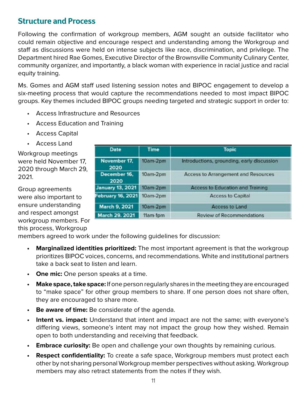### **Structure and Process**

Following the confirmation of workgroup members, AGM sought an outside facilitator who could remain objective and encourage respect and understanding among the Workgroup and staff as discussions were held on intense subjects like race, discrimination, and privilege. The Department hired Rae Gomes, Executive Director of the Brownsville Community Culinary Center, community organizer, and importantly, a black woman with experience in racial justice and racial equity training.

Ms. Gomes and AGM staff used listening session notes and BIPOC engagement to develop a six-meeting process that would capture the recommendations needed to most impact BIPOC groups. Key themes included BIPOC groups needing targeted and strategic support in order to:

- Access Infrastructure and Resources
- Access Education and Training
- Access Capital
- Access Land

Workgroup meetings were held November 17, 2020 through March 29, 2021.

Group agreements were also important to ensure understanding and respect amongst workgroup members. For this process, Workgroup

| <b>Date</b>              | <b>Time</b> | <b>Topic</b>                               |
|--------------------------|-------------|--------------------------------------------|
| November 17.<br>2020     | 10am-2pm    | Introductions, grounding, early discussion |
| December 16,<br>2020     | 10am-2pm    | <b>Access to Arrangement and Resources</b> |
| <b>January 13, 2021</b>  | $10am-2pm$  | <b>Access to Education and Training</b>    |
| <b>February 16, 2021</b> | $10am-2pm$  | <b>Access to Capital</b>                   |
| March 9, 2021            | 10am-2pm    | <b>Access to Land</b>                      |
| March 29, 2021           | 11am-1pm    | <b>Review of Recommendations</b>           |

members agreed to work under the following guidelines for discussion:

- **• Marginalized identities prioritized:** The most important agreement is that the workgroup prioritizes BIPOC voices, concerns, and recommendations. White and institutional partners take a back seat to listen and learn.
- **• One mic:** One person speaks at a time.
- **• Make space, take space:** If one person regularly shares in the meeting they are encouraged to "make space" for other group members to share. If one person does not share often, they are encouraged to share more.
- **Be aware of time:** Be considerate of the agenda.
- **Intent vs. impact:** Understand that intent and impact are not the same; with everyone's differing views, someone's intent may not impact the group how they wished. Remain open to both understanding and receiving that feedback.
- **Embrace curiosity:** Be open and challenge your own thoughts by remaining curious.
- **Respect confidentiality:** To create a safe space, Workgroup members must protect each other by not sharing personal Workgroup member perspectives without asking. Workgroup members may also retract statements from the notes if they wish.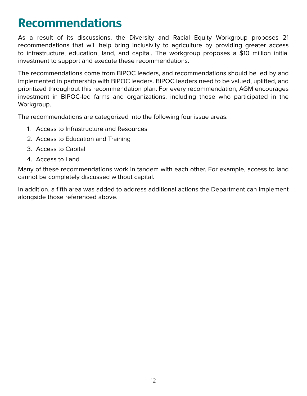## <span id="page-12-0"></span>**Recommendations**

As a result of its discussions, the Diversity and Racial Equity Workgroup proposes 21 recommendations that will help bring inclusivity to agriculture by providing greater access to infrastructure, education, land, and capital. The workgroup proposes a \$10 million initial investment to support and execute these recommendations.

The recommendations come from BIPOC leaders, and recommendations should be led by and implemented in partnership with BIPOC leaders. BIPOC leaders need to be valued, uplifted, and prioritized throughout this recommendation plan. For every recommendation, AGM encourages investment in BIPOC-led farms and organizations, including those who participated in the Workgroup.

The recommendations are categorized into the following four issue areas:

- 1. Access to Infrastructure and Resources
- 2. Access to Education and Training
- 3. Access to Capital
- 4. Access to Land

Many of these recommendations work in tandem with each other. For example, access to land cannot be completely discussed without capital.

In addition, a fifth area was added to address additional actions the Department can implement alongside those referenced above.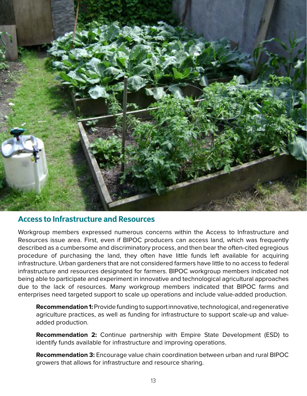

#### **Access to Infrastructure and Resources**

Workgroup members expressed numerous concerns within the Access to Infrastructure and Resources issue area. First, even if BIPOC producers can access land, which was frequently described as a cumbersome and discriminatory process, and then bear the often-cited egregious procedure of purchasing the land, they often have little funds left available for acquiring infrastructure. Urban gardeners that are not considered farmers have little to no access to federal infrastructure and resources designated for farmers. BIPOC workgroup members indicated not being able to participate and experiment in innovative and technological agricultural approaches due to the lack of resources. Many workgroup members indicated that BIPOC farms and enterprises need targeted support to scale up operations and include value-added production.

**Recommendation 1:** Provide funding to support innovative, technological, and regenerative agriculture practices, as well as funding for infrastructure to support scale-up and valueadded production.

**Recommendation 2:** Continue partnership with Empire State Development (ESD) to identify funds available for infrastructure and improving operations.

**Recommendation 3:** Encourage value chain coordination between urban and rural BIPOC growers that allows for infrastructure and resource sharing.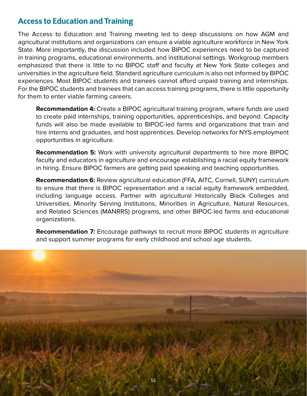### **Access to Education and Training**

The Access to Education and Training meeting led to deep discussions on how AGM and agricultural institutions and organizations can ensure a viable agriculture workforce in New York State. More importantly, the discussion included how BIPOC experiences need to be captured in training programs, educational environments, and institutional settings. Workgroup members emphasized that there is little to no BIPOC staff and faculty at New York State colleges and universities in the agriculture field. Standard agriculture curriculum is also not informed by BIPOC experiences. Most BIPOC students and trainees cannot afford unpaid training and internships. For the BIPOC students and trainees that can access training programs, there is little opportunity for them to enter viable farming careers.

**Recommendation 4:** Create a BIPOC agricultural training program, where funds are used to create paid internships, training opportunities, apprenticeships, and beyond. Capacity funds will also be made available to BIPOC-led farms and organizations that train and hire interns and graduates, and host apprentices. Develop networks for NYS employment opportunities in agriculture.

**Recommendation 5:** Work with university agricultural departments to hire more BIPOC faculty and educators in agriculture and encourage establishing a racial equity framework in hiring. Ensure BIPOC farmers are getting paid speaking and teaching opportunities.

**Recommendation 6:** Review agricultural education (FFA, AITC, Cornell, SUNY) curriculum to ensure that there is BIPOC representation and a racial equity framework embedded, including language access. Partner with agricultural Historically Black Colleges and Universities, Minority Serving Institutions, Minorities in Agriculture, Natural Resources, and Related Sciences (MANRRS) programs, and other BIPOC-led farms and educational organizations.

**Recommendation 7:** Encourage pathways to recruit more BIPOC students in agriculture and support summer programs for early childhood and school age students.

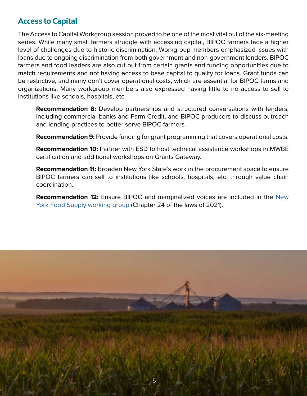### **Access to Capital**

The Access to Capital Workgroup session proved to be one of the most vital out of the six-meeting series. While many small farmers struggle with accessing capital, BIPOC farmers face a higher level of challenges due to historic discrimination. Workgroup members emphasized issues with loans due to ongoing discrimination from both government and non-government lenders. BIPOC farmers and food leaders are also cut out from certain grants and funding opportunities due to match requirements and not having access to base capital to qualify for loans. Grant funds can be restrictive, and many don't cover operational costs, which are essential for BIPOC farms and organizations. Many workgroup members also expressed having little to no access to sell to institutions like schools, hospitals, etc.

**Recommendation 8:** Develop partnerships and structured conversations with lenders, including commercial banks and Farm Credit, and BIPOC producers to discuss outreach and lending practices to better serve BIPOC farmers.

**Recommendation 9:** Provide funding for grant programming that covers operational costs.

**Recommendation 10:** Partner with ESD to host technical assistance workshops in MWBE certification and additional workshops on Grants Gateway.

**Recommendation 11:** Broaden New York State's work in the procurement space to ensure BIPOC farmers can sell to institutions like schools, hospitals, etc. through value chain coordination.

**Recommendation 12:** Ensure BIPOC and marginalized voices are included in the [New](https://www.billtrack50.com/BillDetail/1233297)  [York Food Supply working group](https://www.billtrack50.com/BillDetail/1233297) (Chapter 24 of the laws of 2021).

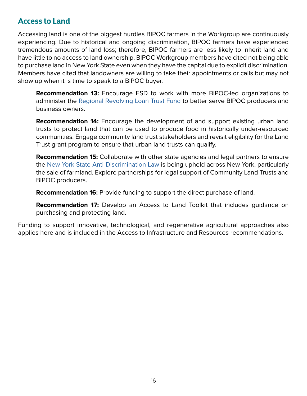### **Access to Land**

Accessing land is one of the biggest hurdles BIPOC farmers in the Workgroup are continuously experiencing. Due to historical and ongoing discrimination, BIPOC farmers have experienced tremendous amounts of land loss; therefore, BIPOC farmers are less likely to inherit land and have little to no access to land ownership. BIPOC Workgroup members have cited not being able to purchase land in New York State even when they have the capital due to explicit discrimination. Members have cited that landowners are willing to take their appointments or calls but may not show up when it is time to speak to a BIPOC buyer.

**Recommendation 13:** Encourage ESD to work with more BIPOC-led organizations to administer the [Regional Revolving Loan Trust Fund](https://esd.ny.gov/regional-revolving-loan-trust-fund-program) to better serve BIPOC producers and business owners.

**Recommendation 14:** Encourage the development of and support existing urban land trusts to protect land that can be used to produce food in historically under-resourced communities. Engage community land trust stakeholders and revisit eligibility for the Land Trust grant program to ensure that urban land trusts can qualify.

**Recommendation 15:** Collaborate with other state agencies and legal partners to ensure the [New York State Anti-Discrimination Law](https://www.grar.org/wp-content/uploads/2017/07/RR2FairHousingOverview.pdf) is being upheld across New York, particularly the sale of farmland. Explore partnerships for legal support of Community Land Trusts and BIPOC producers.

**Recommendation 16:** Provide funding to support the direct purchase of land.

**Recommendation 17:** Develop an Access to Land Toolkit that includes guidance on purchasing and protecting land.

Funding to support innovative, technological, and regenerative agricultural approaches also applies here and is included in the Access to Infrastructure and Resources recommendations.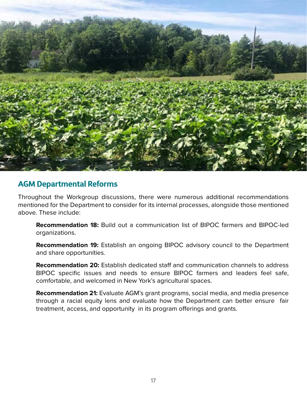

#### **AGM Departmental Reforms**

Throughout the Workgroup discussions, there were numerous additional recommendations mentioned for the Department to consider for its internal processes, alongside those mentioned above. These include:

**Recommendation 18:** Build out a communication list of BIPOC farmers and BIPOC-led organizations.

**Recommendation 19:** Establish an ongoing BIPOC advisory council to the Department and share opportunities.

**Recommendation 20:** Establish dedicated staff and communication channels to address BIPOC specific issues and needs to ensure BIPOC farmers and leaders feel safe, comfortable, and welcomed in New York's agricultural spaces.

**Recommendation 21:** Evaluate AGM's grant programs, social media, and media presence through a racial equity lens and evaluate how the Department can better ensure fair treatment, access, and opportunity in its program offerings and grants.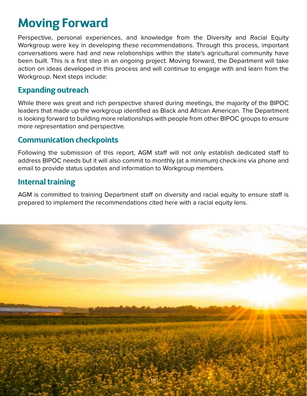# <span id="page-18-0"></span>**Moving Forward**

Perspective, personal experiences, and knowledge from the Diversity and Racial Equity Workgroup were key in developing these recommendations. Through this process, important conversations were had and new relationships within the state's agricultural community have been built. This is a first step in an ongoing project. Moving forward, the Department will take action on ideas developed in this process and will continue to engage with and learn from the Workgroup. Next steps include:

### **Expanding outreach**

While there was great and rich perspective shared during meetings, the majority of the BIPOC leaders that made up the workgroup identified as Black and African American. The Department is looking forward to building more relationships with people from other BIPOC groups to ensure more representation and perspective.

### **Communication checkpoints**

Following the submission of this report, AGM staff will not only establish dedicated staff to address BIPOC needs but it will also commit to monthly (at a minimum) check-ins via phone and email to provide status updates and information to Workgroup members.

### **Internal training**

AGM is committed to training Department staff on diversity and racial equity to ensure staff is prepared to implement the recommendations cited here with a racial equity lens.

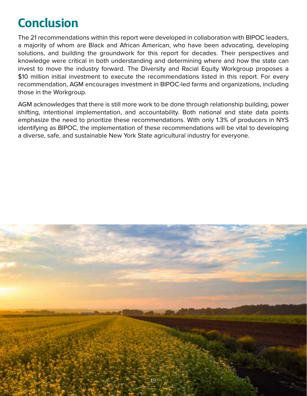# <span id="page-19-0"></span>**Conclusion**

The 21 recommendations within this report were developed in collaboration with BIPOC leaders, a majority of whom are Black and African American, who have been advocating, developing solutions, and building the groundwork for this report for decades. Their perspectives and knowledge were critical in both understanding and determining where and how the state can invest to move the industry forward. The Diversity and Racial Equity Workgroup proposes a \$10 million initial investment to execute the recommendations listed in this report. For every recommendation, AGM encourages investment in BIPOC-led farms and organizations, including those in the Workgroup.

AGM acknowledges that there is still more work to be done through relationship building, power shifting, intentional implementation, and accountability. Both national and state data points emphasize the need to prioritize these recommendations. With only 1.3% of producers in NYS identifying as BIPOC, the implementation of these recommendations will be vital to developing a diverse, safe, and sustainable New York State agricultural industry for everyone.

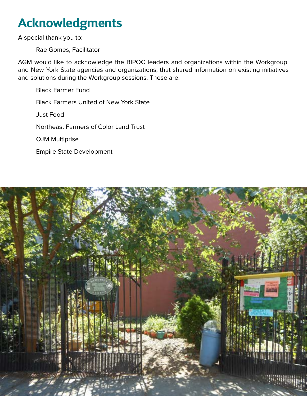# <span id="page-20-0"></span>**Acknowledgments**

A special thank you to:

Rae Gomes, Facilitator

AGM would like to acknowledge the BIPOC leaders and organizations within the Workgroup, and New York State agencies and organizations, that shared information on existing initiatives and solutions during the Workgroup sessions. These are:

Black Farmer Fund Black Farmers United of New York State Just Food Northeast Farmers of Color Land Trust QJM Multiprise Empire State Development

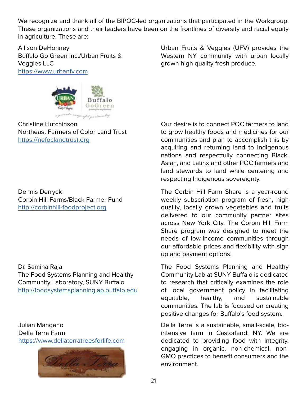We recognize and thank all of the BIPOC-led organizations that participated in the Workgroup. These organizations and their leaders have been on the frontlines of diversity and racial equity in agriculture. These are:

Allison DeHonney Buffalo Go Green Inc./Urban Fruits & Veggies LLC <https://www.urbanfv.com>



Christine Hutchinson Northeast Farmers of Color Land Trust <https://nefoclandtrust.org>

Dennis Derryck Corbin Hill Farms/Black Farmer Fund <http://corbinhill-foodproject.org>

Dr. Samina Raja The Food Systems Planning and Healthy Community Laboratory, SUNY Buffalo <http://foodsystemsplanning.ap.buffalo.edu>

Julian Mangano Della Terra Farm <https://www.dellaterratreesforlife.com>



Urban Fruits & Veggies (UFV) provides the Western NY community with urban locally grown high quality fresh produce.

Our desire is to connect POC farmers to land to grow healthy foods and medicines for our communities and plan to accomplish this by acquiring and returning land to Indigenous nations and respectfully connecting Black, Asian, and Latinx and other POC farmers and land stewards to land while centering and respecting Indigenous sovereignty.

The Corbin Hill Farm Share is a year-round weekly subscription program of fresh, high quality, locally grown vegetables and fruits delivered to our community partner sites across New York City. The Corbin Hill Farm Share program was designed to meet the needs of low-income communities through our affordable prices and flexibility with sign up and payment options.

The Food Systems Planning and Healthy Community Lab at SUNY Buffalo is dedicated to research that critically examines the role of local government policy in facilitating equitable, healthy, and sustainable communities. The lab is focused on creating positive changes for Buffalo's food system.

Della Terra is a sustainable, small-scale, biointensive farm in Castorland, NY. We are dedicated to providing food with integrity, engaging in organic, non-chemical, non-GMO practices to benefit consumers and the environment.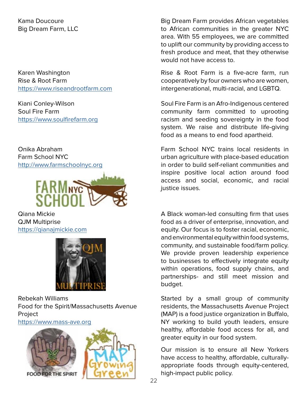Kama Doucoure Big Dream Farm, LLC

Karen Washington Rise & Root Farm <https://www.riseandrootfarm.com>

Kiani Conley-Wilson Soul Fire Farm <https://www.soulfirefarm.org>

Onika Abraham Farm School NYC <http://www.farmschoolnyc.org>



Qiana Mickie QJM Multiprise <https://qianajmickie.com>



Rebekah Williams Food for the Spirit/Massachusetts Avenue **Project** 

<https://www.mass-ave.org>



Big Dream Farm provides African vegetables to African communities in the greater NYC area. With 55 employees, we are committed to uplift our community by providing access to fresh produce and meat, that they otherwise would not have access to.

Rise & Root Farm is a five-acre farm, run cooperatively by four owners who are women, intergenerational, multi-racial, and LGBTQ.

Soul Fire Farm is an Afro-Indigenous centered community farm committed to uprooting racism and seeding sovereignty in the food system. We raise and distribute life-giving food as a means to end food apartheid.

Farm School NYC trains local residents in urban agriculture with place-based education in order to build self-reliant communities and inspire positive local action around food access and social, economic, and racial justice issues.

A Black woman-led consulting firm that uses food as a driver of enterprise, innovation, and equity. Our focus is to foster racial, economic, and environmental equity within food systems, community, and sustainable food/farm policy. We provide proven leadership experience to businesses to effectively integrate equity within operations, food supply chains, and partnerships- and still meet mission and budget.

Started by a small group of community residents, the Massachusetts Avenue Project (MAP) is a food justice organization in Buffalo, NY working to build youth leaders, ensure healthy, affordable food access for all, and greater equity in our food system.

Our mission is to ensure all New Yorkers have access to healthy, affordable, culturallyappropriate foods through equity-centered, high-impact public policy.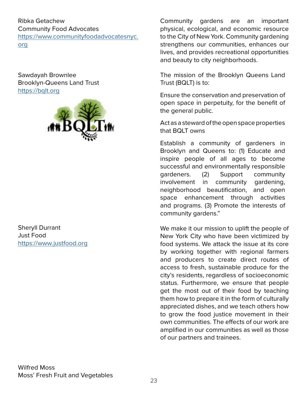Ribka Getachew Community Food Advocates [https://www.communityfoodadvocatesnyc.](https://www.communityfoodadvocatesnyc.org) [org](https://www.communityfoodadvocatesnyc.org)

Sawdayah Brownlee Brooklyn-Queens Land Trust <https://bqlt.org>



Sheryll Durrant Just Food <https://www.justfood.org>

Community gardens are an important physical, ecological, and economic resource to the City of New York. Community gardening strengthens our communities, enhances our lives, and provides recreational opportunities and beauty to city neighborhoods.

The mission of the Brooklyn Queens Land Trust (BQLT) is to:

Ensure the conservation and preservation of open space in perpetuity, for the benefit of the general public.

Act as a steward of the open space properties that BQLT owns

Establish a community of gardeners in Brooklyn and Queens to: (1) Educate and inspire people of all ages to become successful and environmentally responsible gardeners. (2) Support community involvement in community gardening, neighborhood beautification, and open space enhancement through activities and programs. (3) Promote the interests of community gardens."

We make it our mission to uplift the people of New York City who have been victimized by food systems. We attack the issue at its core by working together with regional farmers and producers to create direct routes of access to fresh, sustainable produce for the city's residents, regardless of socioeconomic status. Furthermore, we ensure that people get the most out of their food by teaching them how to prepare it in the form of culturally appreciated dishes, and we teach others how to grow the food justice movement in their own communities. The effects of our work are amplified in our communities as well as those of our partners and trainees.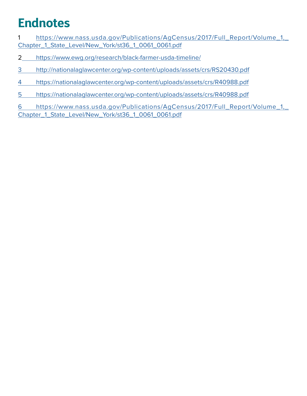# <span id="page-24-0"></span>**Endnotes**

- [https://www.nass.usda.gov/Publications/AgCensus/2017/Full\\_Report/Volume\\_1,\\_](https://www.nass.usda.gov/Publications/AgCensus/2017/Full_Report/Volume_1,_Chapter_1_State_Level/New_York/st36_1_0061_0061.pdf) [Chapter\\_1\\_State\\_Level/New\\_York/st36\\_1\\_0061\\_0061.pdf](https://www.nass.usda.gov/Publications/AgCensus/2017/Full_Report/Volume_1,_Chapter_1_State_Level/New_York/st36_1_0061_0061.pdf)
- https://www.ewg.org/research/black-farmer-usda-timeline/
- http://nationalaglawcenter.org/wp-content/uploads/assets/crs/RS20430.pdf
- https://nationalaglawcenter.org/wp-content/uploads/assets/crs/R40988.pdf
- https://nationalaglawcenter.org/wp-content/uploads/assets/crs/R40988.pdf

 https://www.nass.usda.gov/Publications/AgCensus/2017/Full\_Report/Volume\_1,\_ Chapter\_1\_State\_Level/New\_York/st36\_1\_0061\_0061.pdf